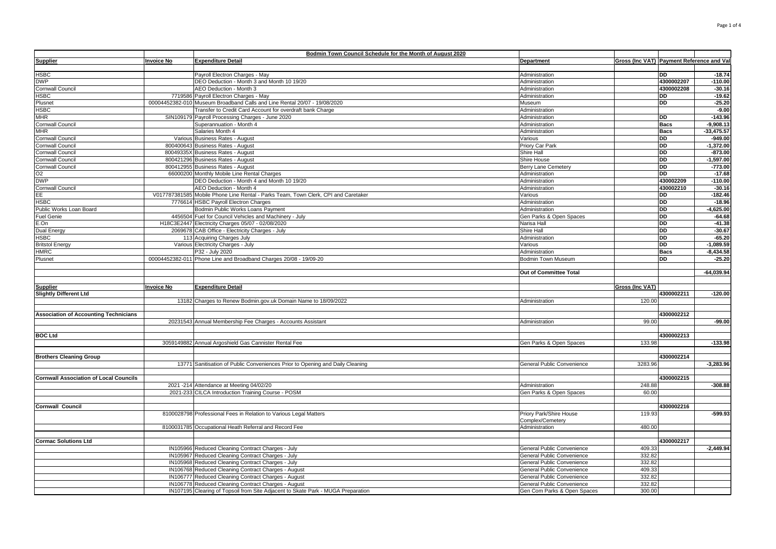|                                               |                   | Bodmin Town Council Schedule for the Month of August 2020                          |                                   |                                           |             |              |
|-----------------------------------------------|-------------------|------------------------------------------------------------------------------------|-----------------------------------|-------------------------------------------|-------------|--------------|
| <b>Supplier</b>                               | <b>Invoice No</b> | <b>Expenditure Detail</b>                                                          | <b>Department</b>                 | Gross (Inc VAT) Payment Reference and Val |             |              |
|                                               |                   |                                                                                    |                                   |                                           |             |              |
| <b>HSBC</b>                                   |                   | Payroll Electron Charges - May                                                     | Administration                    |                                           | <b>DD</b>   | $-18.74$     |
| <b>DWP</b>                                    |                   | DEO Deduction - Month 3 and Month 10 19/20                                         | Administration                    |                                           | 4300002207  | $-110.00$    |
| <b>Cornwall Council</b>                       |                   | AEO Deduction - Month 3                                                            | Administration                    |                                           | 4300002208  | $-30.16$     |
| <b>ISBC</b>                                   |                   | 7719586 Payroll Electron Charges - May                                             | Administration                    |                                           | DD          | $-19.62$     |
| Plusnet                                       |                   | 00004452382-010 Museum Broadband Calls and Line Rental 20/07 - 19/08/2020          | Museum                            |                                           | <b>DD</b>   | $-25.20$     |
| HSBC                                          |                   | Transfer to Credit Card Account for overdraft bank Charge                          | Administration                    |                                           |             | $-9.00$      |
| <b>MHR</b>                                    |                   | SIN109179 Payroll Processing Charges - June 2020                                   | Administration                    |                                           | <b>DD</b>   | $-143.96$    |
| Cornwall Council                              |                   | Superannuation - Month 4                                                           | Administration                    |                                           | <b>Bacs</b> | $-9,908.13$  |
| MHR                                           |                   | Salaries Month 4                                                                   | Administration                    |                                           | <b>Bacs</b> | $-33,475.57$ |
| Cornwall Council                              |                   | Various Business Rates - August                                                    | Various                           |                                           | <b>DD</b>   | $-949.00$    |
| Cornwall Council                              |                   | 800400643 Business Rates - August                                                  | Priory Car Park                   |                                           | <b>DD</b>   | $-1,372.00$  |
| Cornwall Council                              |                   | 80049335X Business Rates - August                                                  | Shire Hall                        |                                           | <b>DD</b>   | $-873.00$    |
| <b>Cornwall Council</b>                       |                   | 800421296 Business Rates - August                                                  | Shire House                       |                                           | <b>DD</b>   | $-1.597.00$  |
| <b>Cornwall Council</b>                       |                   | 800412955 Business Rates - August                                                  | Berry Lane Cemetery               |                                           | <b>DD</b>   | $-773.00$    |
| O <sub>2</sub>                                |                   | 66000200 Monthly Mobile Line Rental Charges                                        | Administration                    |                                           | <b>DD</b>   | $-17.68$     |
| <b>DWP</b>                                    |                   | DEO Deduction - Month 4 and Month 10 19/20                                         | Administration                    |                                           | 430002209   | $-110.00$    |
| Cornwall Council                              |                   | AEO Deduction - Month 4                                                            | Administration                    |                                           | 430002210   | $-30.16$     |
| FF.                                           |                   | V017787381585 Mobile Phone Line Rental - Parks Team, Town Clerk, CPI and Caretaker | Various                           |                                           | DD          | $-182.46$    |
| <b>ISBC</b>                                   |                   | 7776614 HSBC Payroll Electron Charges                                              | Administration                    |                                           | DD          | $-18.96$     |
| Public Works Loan Board                       |                   | Bodmin Public Works Loans Payment                                                  | Administration                    |                                           | <b>DD</b>   | $-4,625.00$  |
| <b>Fuel Genie</b>                             |                   | 4456504 Fuel for Council Vehicles and Machinery - July                             | Gen Parks & Open Spaces           |                                           | <b>DD</b>   | $-64.68$     |
| E.On                                          |                   | H18C3E2447 Electricity Charges 05/07 - 02/08/2020                                  | Narisa Hall                       |                                           | <b>DD</b>   | $-41.38$     |
| <b>Dual Energy</b>                            |                   | 2069678 CAB Office - Electricity Charges - July                                    | Shire Hall                        |                                           | DD          | $-30.67$     |
| <b>HSBC</b>                                   |                   | 113 Acquiring Charges July                                                         | Administration                    |                                           | DD          | $-65.20$     |
| <b>Britstol Energy</b>                        |                   | Various Electricity Charges - July                                                 | Various                           |                                           | <b>DD</b>   | $-1,089.59$  |
| HMRC                                          |                   | P32 - July 2020                                                                    | Administration                    |                                           | <b>Bacs</b> | $-8,434.58$  |
| Plusnet                                       |                   | 00004452382-011 Phone Line and Broadband Charges 20/08 - 19/09-20                  | Bodmin Town Museum                |                                           | <b>DD</b>   | $-25.20$     |
|                                               |                   |                                                                                    |                                   |                                           |             |              |
|                                               |                   |                                                                                    | <b>Out of Committee Total</b>     |                                           |             | $-64.039.94$ |
|                                               |                   |                                                                                    |                                   |                                           |             |              |
| <u>Supplier</u>                               | <b>Invoice No</b> | <b>Expenditure Detail</b>                                                          |                                   | <b>Gross (Inc VAT)</b>                    |             |              |
| <b>Slightly Different Ltd</b>                 |                   |                                                                                    |                                   |                                           | 4300002211  | $-120.00$    |
|                                               |                   | 13182 Charges to Renew Bodmin.gov.uk Domain Name to 18/09/2022                     | Administration                    | 120.00                                    |             |              |
|                                               |                   |                                                                                    |                                   |                                           |             |              |
| <b>Association of Accounting Technicians</b>  |                   |                                                                                    |                                   |                                           | 4300002212  |              |
|                                               |                   | 20231543 Annual Membership Fee Charges - Accounts Assistant                        | Administration                    | 99.00                                     |             | $-99.00$     |
|                                               |                   |                                                                                    |                                   |                                           |             |              |
| <b>BOC Ltd</b>                                |                   |                                                                                    |                                   |                                           | 4300002213  |              |
|                                               |                   | 3059149882 Annual Argoshield Gas Cannister Rental Fee                              | Gen Parks & Open Spaces           | 133.98                                    |             | $-133.98$    |
|                                               |                   |                                                                                    |                                   |                                           |             |              |
| <b>Brothers Cleaning Group</b>                |                   |                                                                                    |                                   |                                           | 4300002214  |              |
|                                               |                   | 13771 Sanitisation of Public Conveniences Prior to Opening and Daily Cleaning      | General Public Convenience        | 3283.96                                   |             | $-3,283.96$  |
|                                               |                   |                                                                                    |                                   |                                           |             |              |
| <b>Cornwall Association of Local Councils</b> |                   |                                                                                    |                                   |                                           | 4300002215  |              |
|                                               |                   | 2021 -214 Attendance at Meeting 04/02/20                                           | Administration                    | 248.88                                    |             | $-308.88$    |
|                                               |                   | 2021-233 CILCA Introduction Training Course - POSM                                 | Gen Parks & Open Spaces           | 60.00                                     |             |              |
|                                               |                   |                                                                                    |                                   |                                           |             |              |
| <b>Cornwall Council</b>                       |                   |                                                                                    |                                   |                                           | 4300002216  |              |
|                                               |                   | 8100028798 Professional Fees in Relation to Various Legal Matters                  | Priory Park/Shire House           | 119.93                                    |             | $-599.93$    |
|                                               |                   |                                                                                    | Complex/Cemetery                  |                                           |             |              |
|                                               |                   | 8100031785 Occupational Heath Referral and Record Fee                              | Administration                    | 480.00                                    |             |              |
|                                               |                   |                                                                                    |                                   |                                           |             |              |
| <b>Cormac Solutions Ltd</b>                   |                   |                                                                                    |                                   |                                           | 4300002217  |              |
|                                               |                   | IN105966 Reduced Cleaning Contract Charges - July                                  | General Public Convenience        | 409.33                                    |             | $-2,449.94$  |
|                                               |                   | IN105967 Reduced Cleaning Contract Charges - July                                  | General Public Convenience        | 332.82                                    |             |              |
|                                               |                   | IN105968 Reduced Cleaning Contract Charges - July                                  |                                   | 332.82                                    |             |              |
|                                               |                   |                                                                                    | General Public Convenience        | 409.33                                    |             |              |
|                                               |                   | IN106768 Reduced Cleaning Contract Charges - August                                | <b>General Public Convenience</b> | 332.82                                    |             |              |
|                                               |                   | IN106777 Reduced Cleaning Contract Charges - August                                | General Public Convenience        |                                           |             |              |
|                                               |                   | IN106778 Reduced Cleaning Contract Charges - August                                | General Public Convenience        | 332.82                                    |             |              |
|                                               |                   | IN107195 Clearing of Topsoil from Site Adjacent to Skate Park - MUGA Preparation   | Gen Com Parks & Open Spaces       | 300.00                                    |             |              |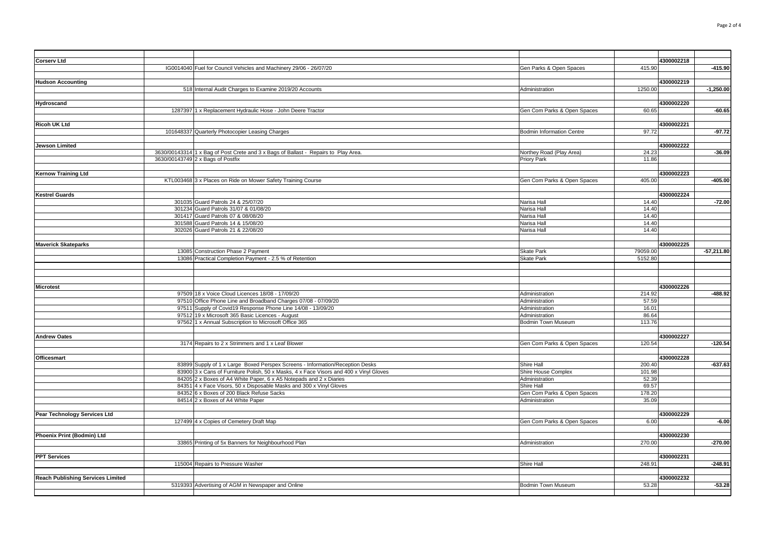| <b>Corserv Ltd</b>                       |                                                                                        |                                  |                | 4300002218 |              |
|------------------------------------------|----------------------------------------------------------------------------------------|----------------------------------|----------------|------------|--------------|
|                                          | IG0014040 Fuel for Council Vehicles and Machinery 29/06 - 26/07/20                     | Gen Parks & Open Spaces          | 415.90         |            | $-415.90$    |
|                                          |                                                                                        |                                  |                |            |              |
| <b>Hudson Accounting</b>                 |                                                                                        |                                  |                | 4300002219 |              |
|                                          | 518 Internal Audit Charges to Examine 2019/20 Accounts                                 |                                  | 1250.00        |            | $-1,250.00$  |
|                                          |                                                                                        | Administration                   |                |            |              |
|                                          |                                                                                        |                                  |                |            |              |
| Hydroscand                               |                                                                                        |                                  |                | 4300002220 |              |
|                                          | 1287397 1 x Replacement Hydraulic Hose - John Deere Tractor                            | Gen Com Parks & Open Spaces      | 60.65          |            | $-60.65$     |
|                                          |                                                                                        |                                  |                |            |              |
| <b>Ricoh UK Ltd</b>                      |                                                                                        |                                  |                | 4300002221 |              |
|                                          | 101648337 Quarterly Photocopier Leasing Charges                                        | <b>Bodmin Information Centre</b> | 97.72          |            | $-97.72$     |
|                                          |                                                                                        |                                  |                |            |              |
| <b>Jewson Limited</b>                    |                                                                                        |                                  |                | 4300002222 |              |
|                                          | 3630/00143314 1 x Bag of Post Crete and 3 x Bags of Ballast - Repairs to Play Area.    | Northey Road (Play Area)         | 24.23          |            | $-36.09$     |
|                                          | 3630/00143749 2 x Bags of Postfix                                                      | Priory Park                      | 11.86          |            |              |
|                                          |                                                                                        |                                  |                |            |              |
| <b>Kernow Training Ltd</b>               |                                                                                        |                                  |                | 4300002223 |              |
|                                          | KTL003468 3 x Places on Ride on Mower Safety Training Course                           | Gen Com Parks & Open Spaces      | 405.00         |            | $-405.00$    |
|                                          |                                                                                        |                                  |                |            |              |
| <b>Kestrel Guards</b>                    |                                                                                        |                                  |                | 4300002224 |              |
|                                          | 301035 Guard Patrols 24 & 25/07/20                                                     | Narisa Hall                      | 14.40          |            | $-72.00$     |
|                                          | 301234 Guard Patrols 31/07 & 01/08/20                                                  | Narisa Hall                      | 14.40          |            |              |
|                                          | 301417 Guard Patrols 07 & 08/08/20                                                     | Narisa Hall                      | 14.40          |            |              |
|                                          | 301588 Guard Patrols 14 & 15/08/20                                                     | Narisa Hall                      | 14.40          |            |              |
|                                          | 302026 Guard Patrols 21 & 22/08/20                                                     | Narisa Hall                      | 14.40          |            |              |
|                                          |                                                                                        |                                  |                |            |              |
| <b>Maverick Skateparks</b>               |                                                                                        |                                  |                | 4300002225 |              |
|                                          | 13085 Construction Phase 2 Payment                                                     | <b>Skate Park</b>                | 79059.00       |            | $-57,211.80$ |
|                                          | 13086 Practical Completion Payment - 2.5 % of Retention                                | Skate Park                       | 5152.80        |            |              |
|                                          |                                                                                        |                                  |                |            |              |
|                                          |                                                                                        |                                  |                |            |              |
|                                          |                                                                                        |                                  |                |            |              |
|                                          |                                                                                        |                                  |                | 4300002226 |              |
| <b>Microtest</b>                         | 97509 18 x Voice Cloud Licences 18/08 - 17/09/20                                       | Administration                   | 214.92         |            | $-488.92$    |
|                                          |                                                                                        |                                  |                |            |              |
|                                          | 97510 Office Phone Line and Broadband Charges 07/08 - 07/09/20                         | Administration                   | 57.59<br>16.01 |            |              |
|                                          | 97511 Supply of Covid19 Response Phone Line 14/08 - 13/09/20                           | Administration                   |                |            |              |
|                                          | 97512 19 x Microsoft 365 Basic Licences - August                                       | Administration                   | 86.64          |            |              |
|                                          | 97562 1 x Annual Subscription to Microsoft Office 365                                  | Bodmin Town Museum               | 113.76         |            |              |
|                                          |                                                                                        |                                  |                |            |              |
| <b>Andrew Oates</b>                      |                                                                                        |                                  |                | 4300002227 |              |
|                                          | 3174 Repairs to 2 x Strimmers and 1 x Leaf Blower                                      | Gen Com Parks & Open Spaces      | 120.54         |            | $-120.54$    |
|                                          |                                                                                        |                                  |                |            |              |
| <b>Officesmart</b>                       |                                                                                        |                                  |                | 4300002228 |              |
|                                          | 83899 Supply of 1 x Large Boxed Perspex Screens - Information/Reception Desks          | Shire Hall                       | 200.40         |            | $-637.63$    |
|                                          | 83900 3 x Cans of Furniture Polish, 50 x Masks, 4 x Face Visors and 400 x Vinyl Gloves | Shire House Complex              | 101.98         |            |              |
|                                          | 84205 2 x Boxes of A4 White Paper, 6 x A5 Notepads and 2 x Diaries                     | Administration                   | 52.39          |            |              |
|                                          | 84351 4 x Face Visors, 50 x Disposable Masks and 300 x Vinyl Gloves                    | Shire Hall                       | 69.57          |            |              |
|                                          | 84352 6 x Boxes of 200 Black Refuse Sacks                                              | Gen Com Parks & Open Spaces      | 178.20         |            |              |
|                                          | 84514 2 x Boxes of A4 White Paper                                                      | Administration                   | 35.09          |            |              |
|                                          |                                                                                        |                                  |                |            |              |
| Pear Technology Services Ltd             |                                                                                        |                                  |                | 4300002229 |              |
|                                          | 127499 4 x Copies of Cemetery Draft Map                                                | Gen Com Parks & Open Spaces      | 6.00           |            | $-6.00$      |
|                                          |                                                                                        |                                  |                |            |              |
| Phoenix Print (Bodmin) Ltd               |                                                                                        |                                  |                | 4300002230 |              |
|                                          | 33865 Printing of 5x Banners for Neighbourhood Plan                                    | Administration                   | 270.00         |            | $-270.00$    |
|                                          |                                                                                        |                                  |                |            |              |
| <b>PPT Services</b>                      |                                                                                        |                                  |                | 4300002231 |              |
|                                          | 115004 Repairs to Pressure Washer                                                      | Shire Hall                       | 248.91         |            | $-248.91$    |
|                                          |                                                                                        |                                  |                |            |              |
| <b>Reach Publishing Services Limited</b> |                                                                                        |                                  |                | 4300002232 |              |
|                                          | 5319393 Advertising of AGM in Newspaper and Online                                     | Bodmin Town Museum               | 53.28          |            | $-53.28$     |
|                                          |                                                                                        |                                  |                |            |              |
|                                          |                                                                                        |                                  |                |            |              |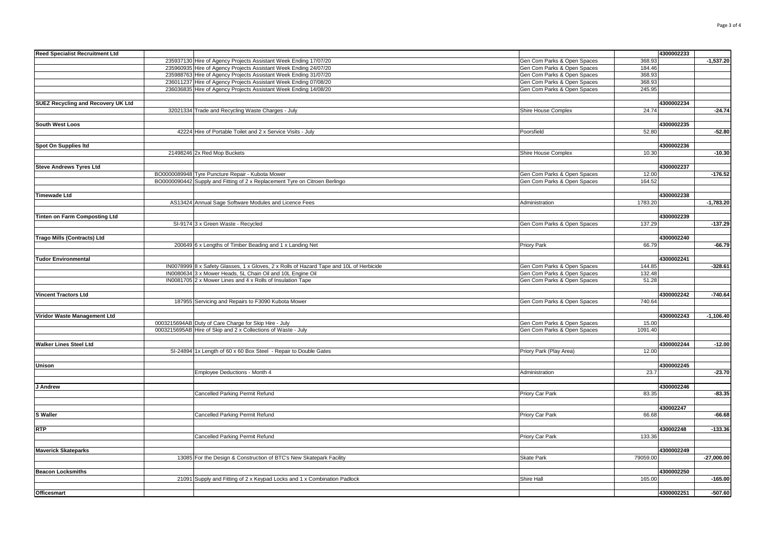| <b>Reed Specialist Recruitment Ltd</b> |                                                                                         |                                        | 4300002233 |              |
|----------------------------------------|-----------------------------------------------------------------------------------------|----------------------------------------|------------|--------------|
|                                        | 235937130 Hire of Agency Projects Assistant Week Ending 17/07/20                        | Gen Com Parks & Open Spaces<br>368.93  |            | $-1,537.20$  |
|                                        | 235960935 Hire of Agency Projects Assistant Week Ending 24/07/20                        | 184.46                                 |            |              |
|                                        |                                                                                         | Gen Com Parks & Open Spaces            |            |              |
|                                        | 235988763 Hire of Agency Projects Assistant Week Ending 31/07/20                        | Gen Com Parks & Open Spaces<br>368.93  |            |              |
|                                        | 236011237 Hire of Agency Projects Assistant Week Ending 07/08/20                        | Gen Com Parks & Open Spaces<br>368.93  |            |              |
|                                        | 236036835 Hire of Agency Projects Assistant Week Ending 14/08/20                        | 245.95<br>Gen Com Parks & Open Spaces  |            |              |
|                                        |                                                                                         |                                        |            |              |
| SUEZ Recycling and Recovery UK Ltd     |                                                                                         |                                        | 4300002234 |              |
|                                        | 32021334 Trade and Recycling Waste Charges - July                                       | Shire House Complex<br>24.74           |            | $-24.74$     |
|                                        |                                                                                         |                                        |            |              |
| South West Loos                        |                                                                                         |                                        | 4300002235 |              |
|                                        | 42224 Hire of Portable Toilet and 2 x Service Visits - July                             | 52.80<br>Poorsfield                    |            | $-52.80$     |
|                                        |                                                                                         |                                        |            |              |
| Spot On Supplies Itd                   |                                                                                         |                                        | 4300002236 |              |
|                                        | 21498246 2x Red Mop Buckets                                                             | Shire House Complex<br>10.30           |            | $-10.30$     |
|                                        |                                                                                         |                                        |            |              |
| <b>Steve Andrews Tyres Ltd</b>         |                                                                                         |                                        | 4300002237 |              |
|                                        | BO0000089948 Tyre Puncture Repair - Kubota Mower                                        | Gen Com Parks & Open Spaces<br>12.00   |            | $-176.52$    |
|                                        | BO0000090442 Supply and Fitting of 2 x Replacement Tyre on Citroen Berlingo             | 164.52<br>Gen Com Parks & Open Spaces  |            |              |
|                                        |                                                                                         |                                        |            |              |
|                                        |                                                                                         |                                        | 4300002238 |              |
| <b>Timewade Ltd</b>                    |                                                                                         |                                        |            |              |
|                                        | AS13424 Annual Sage Software Modules and Licence Fees                                   | 1783.20<br>Administration              |            | $-1,783.20$  |
|                                        |                                                                                         |                                        |            |              |
| Tinten on Farm Composting Ltd          |                                                                                         |                                        | 4300002239 |              |
|                                        | SI-9174 3 x Green Waste - Recycled                                                      | 137.29<br>Gen Com Parks & Open Spaces  |            | $-137.29$    |
|                                        |                                                                                         |                                        |            |              |
| <b>Trago Mills (Contracts) Ltd</b>     |                                                                                         |                                        | 4300002240 |              |
|                                        | 200649 6 x Lengths of Timber Beading and 1 x Landing Net                                | 66.79<br>Priory Park                   |            | $-66.79$     |
|                                        |                                                                                         |                                        |            |              |
| <b>Tudor Environmental</b>             |                                                                                         |                                        | 4300002241 |              |
|                                        | IN0078999 8 x Safety Glasses, 1 x Gloves, 2 x Rolls of Hazard Tape and 10L of Herbicide | Gen Com Parks & Open Spaces<br>144.85  |            | $-328.61$    |
|                                        | IN0080634 3 x Mower Heads, 5L Chain Oil and 10L Engine Oil                              | 132.48<br>Gen Com Parks & Open Spaces  |            |              |
|                                        | IN0081705 2 x Mower Lines and 4 x Rolls of Insulation Tape                              | Gen Com Parks & Open Spaces<br>51.28   |            |              |
|                                        |                                                                                         |                                        |            |              |
| <b>Vincent Tractors Ltd</b>            |                                                                                         |                                        | 4300002242 | $-740.64$    |
|                                        |                                                                                         | 740.64                                 |            |              |
|                                        | 187955 Servicing and Repairs to F3090 Kubota Mower                                      | Gen Com Parks & Open Spaces            |            |              |
|                                        |                                                                                         |                                        |            |              |
| Viridor Waste Management Ltd           |                                                                                         |                                        | 4300002243 | $-1,106.40$  |
|                                        | 0003215694AB Duty of Care Charge for Skip Hire - July                                   | 15.00<br>Gen Com Parks & Open Spaces   |            |              |
|                                        | 0003215695AB Hire of Skip and 2 x Collections of Waste - July                           | Gen Com Parks & Open Spaces<br>1091.40 |            |              |
|                                        |                                                                                         |                                        |            |              |
| <b>Walker Lines Steel Ltd</b>          |                                                                                         |                                        | 4300002244 | $-12.00$     |
|                                        | SI-24894 1x Length of 60 x 60 Box Steel - Repair to Double Gates                        | 12.00<br>Priory Park (Play Area)       |            |              |
|                                        |                                                                                         |                                        |            |              |
| Unison                                 |                                                                                         |                                        | 4300002245 |              |
|                                        | Employee Deductions - Month 4                                                           | 23.7<br>Administration                 |            | $-23.70$     |
|                                        |                                                                                         |                                        |            |              |
| J Andrew                               |                                                                                         |                                        | 4300002246 |              |
|                                        | Cancelled Parking Permit Refund                                                         | Priory Car Park<br>83.35               |            | $-83.35$     |
|                                        |                                                                                         |                                        |            |              |
|                                        |                                                                                         |                                        | 430002247  |              |
| <b>S</b> Waller                        | Cancelled Parking Permit Refund                                                         | Priory Car Park<br>66.68               |            | $-66.68$     |
|                                        |                                                                                         |                                        |            |              |
| <b>RTP</b>                             |                                                                                         |                                        | 430002248  | $-133.36$    |
|                                        |                                                                                         |                                        |            |              |
|                                        | Cancelled Parking Permit Refund                                                         | 133.36<br>Priory Car Park              |            |              |
|                                        |                                                                                         |                                        |            |              |
| <b>Maverick Skateparks</b>             |                                                                                         |                                        | 4300002249 |              |
|                                        | 13085 For the Design & Construction of BTC's New Skatepark Facility                     | Skate Park<br>79059.00                 |            | $-27,000.00$ |
|                                        |                                                                                         |                                        |            |              |
| <b>Beacon Locksmiths</b>               |                                                                                         |                                        | 4300002250 |              |
|                                        | 21091 Supply and Fitting of 2 x Keypad Locks and 1 x Combination Padlock                | Shire Hall<br>165.00                   |            | $-165.00$    |
|                                        |                                                                                         |                                        |            |              |
| <b>Officesmart</b>                     |                                                                                         |                                        | 4300002251 | $-507.60$    |
|                                        |                                                                                         |                                        |            |              |